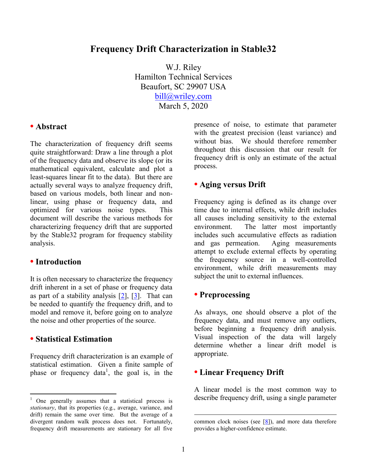# **Frequency Drift Characterization in Stable32**

W.J. Riley Hamilton Technical Services Beaufort, SC 29907 USA [bill@wriley.com](mailto:bill@wriley.com) March 5, 2020

#### **• Abstract**

The characterization of frequency drift seems quite straightforward: Draw a line through a plot of the frequency data and observe its slope (or its mathematical equivalent, calculate and plot a least-squares linear fit to the data). But there are actually several ways to analyze frequency drift, based on various models, both linear and nonlinear, using phase or frequency data, and optimized for various noise types. This document will describe the various methods for characterizing frequency drift that are supported by the Stable32 program for frequency stability analysis.

# **• Introduction**

It is often necessary to characterize the frequency drift inherent in a set of phase or frequency data as part of a stability analysis  $[2]$ ,  $[3]$ . That can be needed to quantify the frequency drift, and to model and remove it, before going on to analyze the noise and other properties of the source.

## **• Statistical Estimation**

 $\overline{a}$ 

Frequency drift characterization is an example of statistical estimation. Given a finite sample of phase or frequency data<sup>1</sup>, the goal is, in the presence of noise, to estimate that parameter with the greatest precision (least variance) and without bias. We should therefore remember throughout this discussion that our result for frequency drift is only an estimate of the actual process.

## **• Aging versus Drift**

Frequency aging is defined as its change over time due to internal effects, while drift includes all causes including sensitivity to the external environment. The latter most importantly includes such accumulative effects as radiation and gas permeation. Aging measurements attempt to exclude external effects by operating the frequency source in a well-controlled environment, while drift measurements may subject the unit to external influences.

## **• Preprocessing**

As always, one should observe a plot of the frequency data, and must remove any outliers, before beginning a frequency drift analysis. Visual inspection of the data will largely determine whether a linear drift model is appropriate.

## **• Linear Frequency Drift**

A linear model is the most common way to describe frequency drift, using a single parameter

 $\overline{a}$ 

<sup>1</sup> One generally assumes that a statistical process is *stationary*, that its properties (e.g., average, variance, and drift) remain the same over time. But the average of a divergent random walk process does not. Fortunately, frequency drift measurements are stationary for all five

common clock noises (see  $[8]$ ), and more data therefore provides a higher-confidence estimate.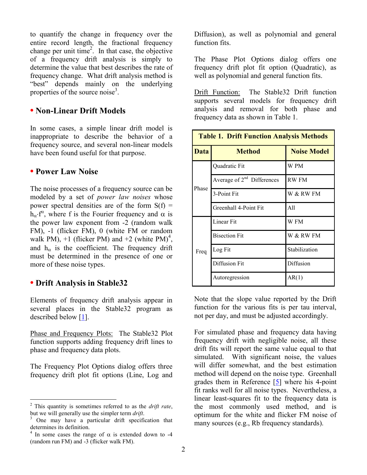to quantify the change in frequency over the entire record length, the fractional frequency change per unit time<sup>2</sup>. In that case, the objective of a frequency drift analysis is simply to determine the value that best describes the rate of frequency change. What drift analysis method is "best" depends mainly on the underlying properties of the source noise<sup>3</sup>.

# **• Non-Linear Drift Models**

In some cases, a simple linear drift model is inappropriate to describe the behavior of a frequency source, and several non-linear models have been found useful for that purpose.

#### **• Power Law Noise**

The noise processes of a frequency source can be modeled by a set of *power law noises* whose power spectral densities are of the form  $S(f)$  =  $h_{\alpha}$ · $f^{\alpha}$ , where f is the Fourier frequency and  $\alpha$  is the power law exponent from -2 (random walk FM), -1 (flicker FM), 0 (white FM or random walk PM),  $+1$  (flicker PM) and  $+2$  (white PM)<sup>4</sup>, and  $h_{\alpha}$  is the coefficient. The frequency drift must be determined in the presence of one or more of these noise types.

## **• Drift Analysis in Stable32**

 $\overline{a}$ 

Elements of frequency drift analysis appear in several places in the Stable32 program as described below [\[1\]](#page-6-3).

Phase and Frequency Plots: The Stable32 Plot function supports adding frequency drift lines to phase and frequency data plots.

The Frequency Plot Options dialog offers three frequency drift plot fit options (Line, Log and Diffusion), as well as polynomial and general function fits.

The Phase Plot Options dialog offers one frequency drift plot fit option (Quadratic), as well as polynomial and general function fits.

Drift Function: The Stable32 Drift function supports several models for frequency drift analysis and removal for both phase and frequency data as shown in Table 1.

| <b>Table 1. Drift Function Analysis Methods</b> |                              |                    |  |  |
|-------------------------------------------------|------------------------------|--------------------|--|--|
| <b>Data</b>                                     | <b>Method</b>                | <b>Noise Model</b> |  |  |
| Phase                                           | Quadratic Fit                | W PM               |  |  |
|                                                 | Average of $2nd$ Differences | <b>RW FM</b>       |  |  |
|                                                 | 3-Point Fit                  | W & RW FM          |  |  |
|                                                 | Greenhall 4-Point Fit        | A11                |  |  |
| Freq                                            | Linear Fit                   | W FM               |  |  |
|                                                 | <b>Bisection Fit</b>         | W & RW FM          |  |  |
|                                                 | Log Fit                      | Stabilization      |  |  |
|                                                 | Diffusion Fit                | Diffusion          |  |  |
|                                                 | Autoregression               | AR(1)              |  |  |

Note that the slope value reported by the Drift function for the various fits is per tau interval, not per day, and must be adjusted accordingly.

For simulated phase and frequency data having frequency drift with negligible noise, all these drift fits will report the same value equal to that simulated. With significant noise, the values will differ somewhat, and the best estimation method will depend on the noise type. Greenhall grades them in Reference  $[5]$  where his 4-point fit ranks well for all noise types. Nevertheless, a linear least-squares fit to the frequency data is the most commonly used method, and is optimum for the white and flicker FM noise of many sources (e.g., Rb frequency standards).

<sup>2</sup> This quantity is sometimes referred to as the *drift rate*, but we will generally use the simpler term *drift*.

One may have a particular drift specification that determines its definition.

<sup>&</sup>lt;sup>4</sup> In some cases the range of  $\alpha$  is extended down to -4 (random run FM) and -3 (flicker walk FM).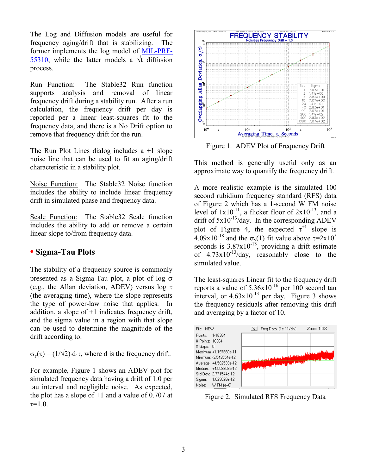The Log and Diffusion models are useful for frequency aging/drift that is stabilizing. The former implements the log model of [MIL-PRF-](https://nepp.nasa.gov/DocUploads/1F3275A6-9140-4C0C-864542DBF16EB1CC/MIL-PRF-55310.pdf)[55310,](https://nepp.nasa.gov/DocUploads/1F3275A6-9140-4C0C-864542DBF16EB1CC/MIL-PRF-55310.pdf) while the latter models a  $\forall$ t diffusion process.

Run Function: The Stable32 Run function supports analysis and removal of linear frequency drift during a stability run. After a run calculation, the frequency drift per day is reported per a linear least-squares fit to the frequency data, and there is a No Drift option to remove that frequency drift for the run.

The Run Plot Lines dialog includes a +1 slope noise line that can be used to fit an aging/drift characteristic in a stability plot.

Noise Function: The Stable32 Noise function includes the ability to include linear frequency drift in simulated phase and frequency data.

Scale Function: The Stable32 Scale function includes the ability to add or remove a certain linear slope to/from frequency data.

# **• Sigma-Tau Plots**

The stability of a frequency source is commonly presented as a Sigma-Tau plot, a plot of log  $\sigma$ (e.g., the Allan deviation, ADEV) versus log  $\tau$ (the averaging time), where the slope represents the type of power-law noise that applies. In addition, a slope of  $+1$  indicates frequency drift, and the sigma value in a region with that slope can be used to determine the magnitude of the drift according to:

 $\sigma_v(\tau) = (1/\sqrt{2}) \cdot d \cdot \tau$ , where d is the frequency drift.

For example, Figure 1 shows an ADEV plot for simulated frequency data having a drift of 1.0 per tau interval and negligible noise. As expected, the plot has a slope of  $+1$  and a value of 0.707 at  $\tau = 1.0$ .



Figure 1. ADEV Plot of Frequency Drift

This method is generally useful only as an approximate way to quantify the frequency drift.

A more realistic example is the simulated 100 second rubidium frequency standard (RFS) data of Figure 2 which has a 1-second W FM noise level of  $1x10^{-11}$ , a flicker floor of  $2x10^{-13}$ , and a drift of  $5x10^{-13}$ /day. In the corresponding ADEV plot of Figure 4, the expected  $\tau^{+1}$  slope is 4.09x10<sup>-18</sup> and the  $\sigma_y(1)$  fit value above  $\tau = 2x10^5$ seconds is  $3.87 \times 10^{-18}$ , providing a drift estimate of  $4.73 \times 10^{-13}$ /day, reasonably close to the simulated value.

The least-squares Linear fit to the frequency drift reports a value of  $5.36x10^{-16}$  per 100 second tau interval, or  $4.63 \times 10^{-13}$  per day. Figure 3 shows the frequency residuals after removing this drift and averaging by a factor of 10.



Figure 2. Simulated RFS Frequency Data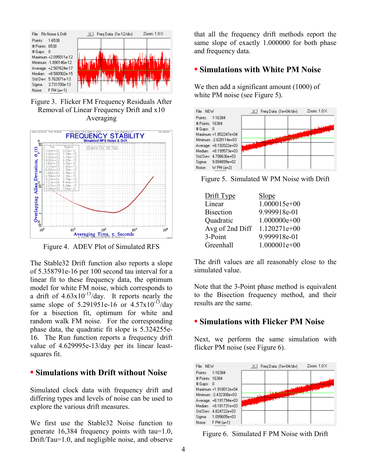

Figure 3. Flicker FM Frequency Residuals After Removal of Linear Frequency Drift and x10 Averaging



Figure 4. ADEV Plot of Simulated RFS

The Stable32 Drift function also reports a slope of 5.358791e-16 per 100 second tau interval for a linear fit to these frequency data, the optimum model for white FM noise, which corresponds to a drift of  $4.63 \times 10^{-13}$ /day. It reports nearly the same slope of 5.291951e-16 or  $4.57 \times 10^{-13}$ /day for a bisection fit, optimum for white and random walk FM noise. For the corresponding phase data, the quadratic fit slope is 5.324255e-16. The Run function reports a frequency drift value of 4.629995e-13/day per its linear leastsquares fit.

## **• Simulations with Drift without Noise**

Simulated clock data with frequency drift and differing types and levels of noise can be used to explore the various drift measures.

We first use the Stable32 Noise function to generate 16,384 frequency points with tau=1.0, Drift/Tau=1.0, and negligible noise, and observe

that all the frequency drift methods report the same slope of exactly 1.000000 for both phase and frequency data.

# **• Simulations with White PM Noise**

We then add a significant amount (1000) of white PM noise (see Figure 5).



Figure 5. Simulated W PM Noise with Drift

| Drift Type       | Slope          |
|------------------|----------------|
| Linear           | 1.000015e+00   |
| <b>Bisection</b> | 9.999918e-01   |
| Quadratic        | $1.000000e+00$ |
| Avg of 2nd Diff  | $1.120271e+00$ |
| 3-Point          | 9.999918e-01   |
| Greenhall        | $1.000001e+00$ |

The drift values are all reasonably close to the simulated value.

Note that the 3-Point phase method is equivalent to the Bisection frequency method, and their results are the same.

# **• Simulations with Flicker PM Noise**

Next, we perform the same simulation with flicker PM noise (see Figure 6).



Figure 6. Simulated F PM Noise with Drift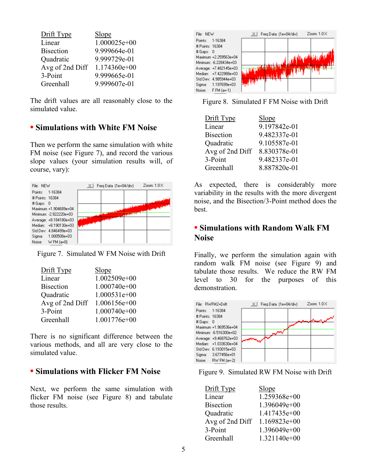| Slope          |
|----------------|
| 1.000025e+00   |
| 9.999664e-01   |
| 9.999729e-01   |
| $1.174360e+00$ |
| 9.999665e-01   |
| 9.999607e-01   |
|                |

The drift values are all reasonably close to the simulated value.

# **• Simulations with White FM Noise**

Then we perform the same simulation with white FM noise (see Figure 7), and record the various slope values (your simulation results will, of course, vary):



Figure 7. Simulated W FM Noise with Drift

| Drift Type       | Slope          |
|------------------|----------------|
| Linear           | 1.002509e+00   |
| <b>Bisection</b> | $1.000740e+00$ |
| Quadratic        | $1.000531e+00$ |
| Avg of 2nd Diff  | 1.006156e+00   |
| 3-Point          | $1.000740e+00$ |
| Greenhall        | 1.001776e+00   |

There is no significant difference between the various methods, and all are very close to the simulated value.

## **• Simulations with Flicker FM Noise**

Next, we perform the same simulation with flicker FM noise (see Figure 8) and tabulate those results.



Figure 8. Simulated F FM Noise with Drift

| Drift Type       | Slope        |
|------------------|--------------|
| Linear           | 9.197842e-01 |
| <b>Bisection</b> | 9.482337e-01 |
| Quadratic        | 9.105587e-01 |
| Avg of 2nd Diff  | 8.830378e-01 |
| 3-Point          | 9.482337e-01 |
| Greenhall        | 8.887820e-01 |

As expected, there is considerably more variability in the results with the more divergent noise, and the Bisection/3-Point method does the best.

# **• Simulations with Random Walk FM Noise**

Finally, we perform the simulation again with random walk FM noise (see Figure 9) and tabulate those results. We reduce the RW FM level to 30 for the purposes of this demonstration.



Figure 9. Simulated RW FM Noise with Drift

| Drift Type       | <b>Slope</b> |
|------------------|--------------|
| Linear           | 1.259368e+00 |
| <b>Bisection</b> | 1.396049e+00 |
| Quadratic        | 1.417435e+00 |
| Avg of 2nd Diff  | 1.169823e+00 |
| 3-Point          | 1.396049e+00 |
| Greenhall        | 1.321140e+00 |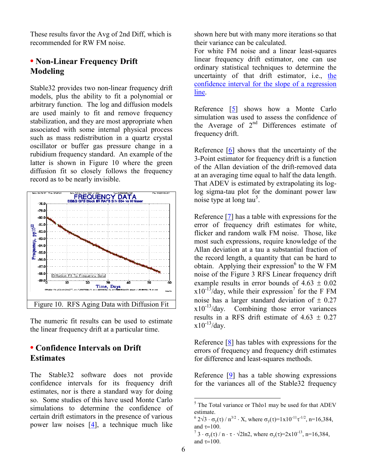These results favor the Avg of 2nd Diff, which is recommended for RW FM noise.

# **• Non-Linear Frequency Drift Modeling**

Stable32 provides two non-linear frequency drift models, plus the ability to fit a polynomial or arbitrary function. The log and diffusion models are used mainly to fit and remove frequency stabilization, and they are most appropriate when associated with some internal physical process such as mass redistribution in a quartz crystal oscillator or buffer gas pressure change in a rubidium frequency standard. An example of the latter is shown in Figure 10 where the green diffusion fit so closely follows the frequency record as to be nearly invisible.



The numeric fit results can be used to estimate the linear frequency drift at a particular time.

# **• Confidence Intervals on Drift Estimates**

The Stable32 software does not provide confidence intervals for its frequency drift estimates, nor is there a standard way for doing so. Some studies of this have used Monte Carlo simulations to determine the confidence of certain drift estimators in the presence of various power law noises [\[4\]](#page-6-5), a technique much like

shown here but with many more iterations so that their variance can be calculated.

For white FM noise and a linear least-squares linear frequency drift estimator, one can use ordinary statistical techniques to determine the uncertainty of that drift estimator, i.e., [the](https://en.wikipedia.org/wiki/Simple_linear_regression#Confidence_intervals)  [confidence interval for the slope of a regression](https://en.wikipedia.org/wiki/Simple_linear_regression#Confidence_intervals)  [line.](https://en.wikipedia.org/wiki/Simple_linear_regression#Confidence_intervals)

Reference [\[5\]](#page-6-4) shows how a Monte Carlo simulation was used to assess the confidence of the Average of  $2<sup>nd</sup>$  Differences estimate of frequency drift.

Reference [\[6\]](#page-6-6) shows that the uncertainty of the 3-Point estimator for frequency drift is a function of the Allan deviation of the drift-removed data at an averaging time equal to half the data length. That ADEV is estimated by extrapolating its loglog sigma-tau plot for the dominant power law noise type at long tau<sup>5</sup>.

Reference [\[7\]](#page-6-7) has a table with expressions for the error of frequency drift estimates for white, flicker and random walk FM noise. Those, like most such expressions, require knowledge of the Allan deviation at a tau a substantial fraction of the record length, a quantity that can be hard to obtain. Applying their expression $6$  to the W FM noise of the Figure 3 RFS Linear frequency drift example results in error bounds of  $4.63 \pm 0.02$  $x10^{-13}$ /day, while their expression<sup>7</sup> for the F FM noise has a larger standard deviation of  $\pm$  0.27 x10<sup>-13</sup>/day. Combining those error variances Combining those error variances results in a RFS drift estimate of  $4.63 \pm 0.27$  $x10^{-13}/day$ .

Reference  $[8]$  has tables with expressions for the errors of frequency and frequency drift estimates for difference and least-squares methods.

Reference  $[9]$  has a table showing expressions for the variances all of the Stable32 frequency

 $^{6}$  2 $\sqrt{3} \cdot \sigma_{y}(\tau)$  /  $n^{3/2} \cdot X$ , where  $\sigma_{y}(\tau) = 1 \times 10^{-11} \tau^{1/2}$ , n=16,384, and  $\tau=100$ .

 $7 \cdot 3 \cdot \sigma_y(\tau) / n \cdot \tau \cdot \sqrt{2 \ln 2}$ , where  $\sigma_y(\tau) = 2 \times 10^{-13}$ , n=16,384, and  $\tau=100$ .

 $\overline{a}$ 

 $5$  The Total variance or Thêo1 may be used for that ADEV estimate.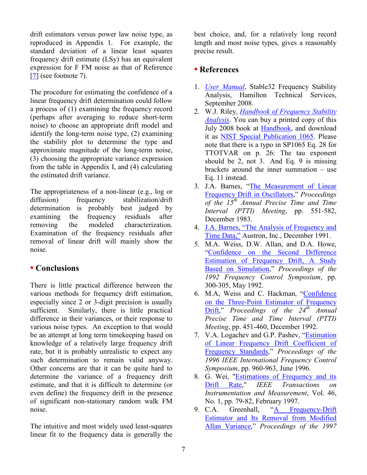drift estimators versus power law noise type, as reproduced in Appendix 1. For example, the standard deviation of a linear least squares frequency drift estimate (LSy) has an equivalent expression for F FM noise as that of Reference [\[7\]](#page-6-7) (see footnote 7).

The procedure for estimating the confidence of a linear frequency drift determination could follow a process of (1) examining the frequency record (perhaps after averaging to reduce short-term noise) to choose an appropriate drift model and identify the long-term noise type, (2) examining the stability plot to determine the type and approximate magnitude of the long-term noise, (3) choosing the appropriate variance expression from the table in Appendix I, and (4) calculating the estimated drift variance.

The appropriateness of a non-linear (e.g., log or diffusion) frequency stabilization/drift determination is probably best judged by examining the frequency residuals after removing the modeled characterization. Examination of the frequency residuals after removal of linear drift will mainly show the noise.

# **• Conclusions**

There is little practical difference between the various methods for frequency drift estimation, especially since 2 or 3-digit precision is usually sufficient. Similarly, there is little practical difference in their variances, or their response to various noise types. An exception to that would be an attempt at long term timekeeping based on knowledge of a relatively large frequency drift rate, but it is probably unrealistic to expect any such determination to remain valid anyway. Other concerns are that it can be quite hard to determine the variance of a frequency drift estimate, and that it is difficult to determine (or even define) the frequency drift in the presence of significant non-stationary random walk FM noise.

The intuitive and most widely used least-squares linear fit to the frequency data is generally the best choice, and, for a relatively long record length and most noise types, gives a reasonably precise result.

# **• References**

- <span id="page-6-3"></span>1. *[User Manual](http://www.stable32.com/Manual154.pdf)*, Stable32 Frequency Stability Analysis, Hamilton Technical Services, September 2008.
- <span id="page-6-0"></span>2. W.J. Riley, *[Handbook of Frequency Stability](http://www.stable32.com/Handbook.pdf)  [Analysis](http://www.stable32.com/Handbook.pdf)*. You can buy a printed copy of this July 2008 book at [Handbook,](http://www.lulu.com/content/508588) and download it as [NIST Special Publication 1065.](https://www.nist.gov/publications/handbook-frequency-stability-analysis) Please note that there is a typo in SP1065 Eq. 28 for TTOTVAR on p. 26: The tau exponent should be 2, not 3. And Eq. 9 is missing brackets around the inner summation – use Eq. 11 instead.
- <span id="page-6-1"></span>3. J.A. Barnes, "The Measurement of Linear [Frequency Drift in Oscillators](https://tf.nist.gov/general/tn1337/Tn264.pdf)," *Proceedings of the 15th Annual Precise Time and Time Interval (PTTI) Meeting*, pp. 551-582, December 1983.
- <span id="page-6-5"></span>4. [J.A. Barnes, "The Analysis of Frequency and](http://www.stable32.com/The%20Analysis%20of%20Frequency%20and%20Time%20Data.pdf)  [Time Data,"](http://www.stable32.com/The%20Analysis%20of%20Frequency%20and%20Time%20Data.pdf) Austron, Inc., December 1991.
- <span id="page-6-4"></span>5. M.A. Weiss, D.W. Allan, and D.A. Howe, "[Confidence on the Second Difference](https://ieeexplore.ieee.org/document/270000)  [Estimation of Frequency Drift, A Study](https://ieeexplore.ieee.org/document/270000)  [Based on Simulation](https://ieeexplore.ieee.org/document/270000)," *Proceedings of the 1992 Frequency Control Symposium*, pp. 300-305, May 1992.
- <span id="page-6-6"></span>6. M.A, Weiss and C. Hackman, "[Confidence](https://tf.nist.gov/general/pdf/999.pdf)  [on the Three-Point Estimator of Frequency](https://tf.nist.gov/general/pdf/999.pdf)  [Drift](https://tf.nist.gov/general/pdf/999.pdf)," *Proceedings of the 24th Annual Precise Time and Time Interval (PTTI) Meeting*, pp. 451-460, December 1992.
- 7. V.A. Logachev and G.P. Pashev, "[Estimation](https://ieeexplore.ieee.org/document/560281)  [of Linear Frequency Drift Coefficient of](https://ieeexplore.ieee.org/document/560281)  [Frequency Standards](https://ieeexplore.ieee.org/document/560281)," *Proceedings of the 1996 IEEE International Frequency Control Symposium*, pp. 960-963, June 1996.
- <span id="page-6-2"></span>8. G. Wei, ["Estimations of Frequency and its](https://ieeexplore.ieee.org/abstract/document/552161)  [Drift Rate,](https://ieeexplore.ieee.org/abstract/document/552161)" *IEEE Transactions on Instrumentation and Measurement*, Vol. 46, No. 1, pp. 79-82, February 1997.
- <span id="page-6-7"></span>9. C.A. Greenhall, "[A Frequency-Drift](https://ieeexplore.ieee.org/document/638639)  [Estimator and Its Removal from Modified](https://ieeexplore.ieee.org/document/638639)  [Allan Variance](https://ieeexplore.ieee.org/document/638639)," *Proceedings of the 1997*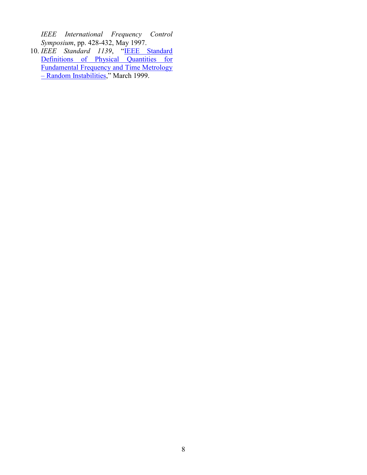*IEEE International Frequency Control Symposium*, pp. 428-432, May 1997.

<span id="page-7-0"></span>10. *IEEE Standard 1139*, "[IEEE Standard](http://www.photonics.umbc.edu/Menyuk/Phase-Noise/Vig_IEEE_Standard_1139-1999%20.pdf)  Definitions of Physical Quantities for [Fundamental Frequency and Time Metrology](http://www.photonics.umbc.edu/Menyuk/Phase-Noise/Vig_IEEE_Standard_1139-1999%20.pdf)  – [Random Instabilities](http://www.photonics.umbc.edu/Menyuk/Phase-Noise/Vig_IEEE_Standard_1139-1999%20.pdf)," March 1999.